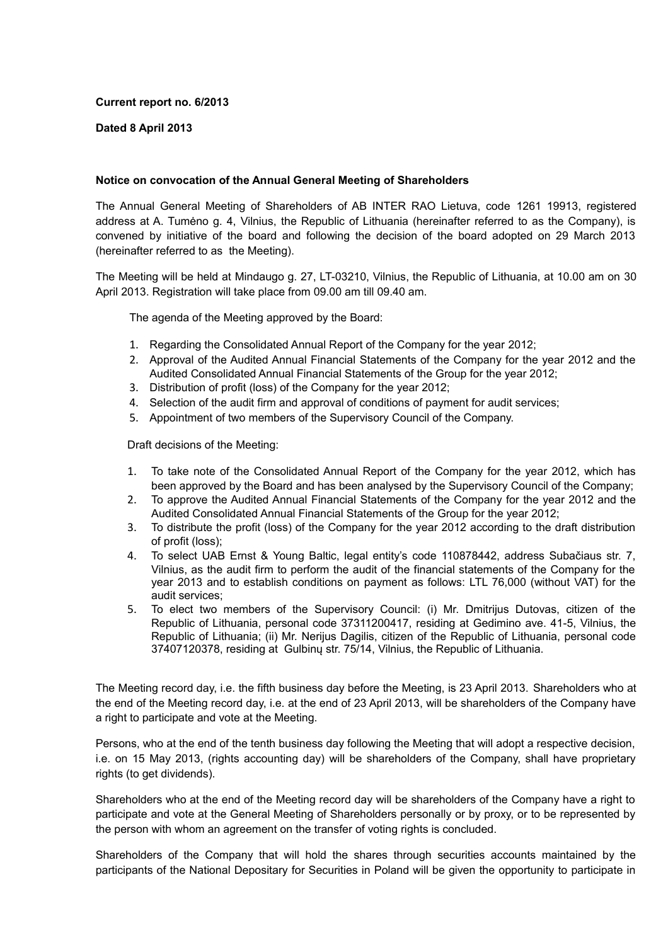## **Current report no. 6/2013**

## **Dated 8 April 2013**

## **Notice on convocation of the Annual General Meeting of Shareholders**

The Annual General Meeting of Shareholders of AB INTER RAO Lietuva, code 1261 19913, registered address at A. Tumėno g. 4, Vilnius, the Republic of Lithuania (hereinafter referred to as the Company), is convened by initiative of the board and following the decision of the board adopted on 29 March 2013 (hereinafter referred to as the Meeting).

The Meeting will be held at Mindaugo g. 27, LT-03210, Vilnius, the Republic of Lithuania, at 10.00 am on 30 April 2013. Registration will take place from 09.00 am till 09.40 am.

The agenda of the Meeting approved by the Board:

- 1. Regarding the Consolidated Annual Report of the Company for the year 2012;
- 2. Approval of the Audited Annual Financial Statements of the Company for the year 2012 and the Audited Consolidated Annual Financial Statements of the Group for the year 2012;
- 3. Distribution of profit (loss) of the Company for the year 2012;
- 4. Selection of the audit firm and approval of conditions of payment for audit services;
- 5. Appointment of two members of the Supervisory Council of the Company.

Draft decisions of the Meeting:

- 1. To take note of the Consolidated Annual Report of the Company for the year 2012, which has been approved by the Board and has been analysed by the Supervisory Council of the Company;
- 2. To approve the Audited Annual Financial Statements of the Company for the year 2012 and the Audited Consolidated Annual Financial Statements of the Group for the year 2012;
- 3. To distribute the profit (loss) of the Company for the year 2012 according to the draft distribution of profit (loss);
- 4. To select UAB Ernst & Young Baltic, legal entity's code 110878442, address Subačiaus str. 7, Vilnius, as the audit firm to perform the audit of the financial statements of the Company for the year 2013 and to establish conditions on payment as follows: LTL 76,000 (without VAT) for the audit services;
- 5. To elect two members of the Supervisory Council: (i) Mr. Dmitrijus Dutovas, citizen of the Republic of Lithuania, personal code 37311200417, residing at Gedimino ave. 41-5, Vilnius, the Republic of Lithuania; (ii) Mr. Nerijus Dagilis, citizen of the Republic of Lithuania, personal code 37407120378, residing at Gulbinų str. 75/14, Vilnius, the Republic of Lithuania.

The Meeting record day, i.e. the fifth business day before the Meeting, is 23 April 2013. Shareholders who at the end of the Meeting record day, i.e. at the end of 23 April 2013, will be shareholders of the Company have a right to participate and vote at the Meeting.

Persons, who at the end of the tenth business day following the Meeting that will adopt a respective decision, i.e. on 15 May 2013, (rights accounting day) will be shareholders of the Company, shall have proprietary rights (to get dividends).

Shareholders who at the end of the Meeting record day will be shareholders of the Company have a right to participate and vote at the General Meeting of Shareholders personally or by proxy, or to be represented by the person with whom an agreement on the transfer of voting rights is concluded.

Shareholders of the Company that will hold the shares through securities accounts maintained by the participants of the National Depositary for Securities in Poland will be given the opportunity to participate in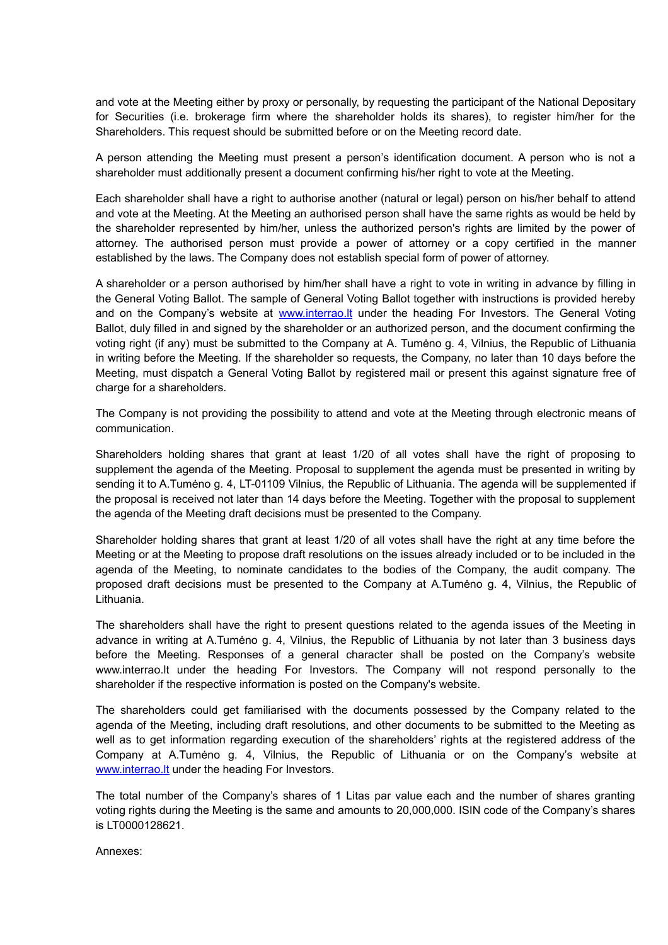and vote at the Meeting either by proxy or personally, by requesting the participant of the National Depositary for Securities (i.e. brokerage firm where the shareholder holds its shares), to register him/her for the Shareholders. This request should be submitted before or on the Meeting record date.

A person attending the Meeting must present a person's identification document. A person who is not a shareholder must additionally present a document confirming his/her right to vote at the Meeting.

Each shareholder shall have a right to authorise another (natural or legal) person on his/her behalf to attend and vote at the Meeting. At the Meeting an authorised person shall have the same rights as would be held by the shareholder represented by him/her, unless the authorized person's rights are limited by the power of attorney. The authorised person must provide a power of attorney or a copy certified in the manner established by the laws. The Company does not establish special form of power of attorney.

A shareholder or a person authorised by him/her shall have a right to vote in writing in advance by filling in the General Voting Ballot. The sample of General Voting Ballot together with instructions is provided hereby and on the Company's website at www.interrao.It under the heading For Investors. The General Voting Ballot, duly filled in and signed by the shareholder or an authorized person, and the document confirming the voting right (if any) must be submitted to the Company at A. Tumėno g. 4, Vilnius, the Republic of Lithuania in writing before the Meeting. If the shareholder so requests, the Company, no later than 10 days before the Meeting, must dispatch a General Voting Ballot by registered mail or present this against signature free of charge for a shareholders.

The Company is not providing the possibility to attend and vote at the Meeting through electronic means of communication.

Shareholders holding shares that grant at least 1/20 of all votes shall have the right of proposing to supplement the agenda of the Meeting. Proposal to supplement the agenda must be presented in writing by sending it to A.Tumėno g. 4, LT-01109 Vilnius, the Republic of Lithuania. The agenda will be supplemented if the proposal is received not later than 14 days before the Meeting. Together with the proposal to supplement the agenda of the Meeting draft decisions must be presented to the Company.

Shareholder holding shares that grant at least 1/20 of all votes shall have the right at any time before the Meeting or at the Meeting to propose draft resolutions on the issues already included or to be included in the agenda of the Meeting, to nominate candidates to the bodies of the Company, the audit company. The proposed draft decisions must be presented to the Company at A.Tumėno g. 4, Vilnius, the Republic of Lithuania.

The shareholders shall have the right to present questions related to the agenda issues of the Meeting in advance in writing at A.Tumėno g. 4, Vilnius, the Republic of Lithuania by not later than 3 business days before the Meeting. Responses of a general character shall be posted on the Company's website www.interrao.lt under the heading For Investors. The Company will not respond personally to the shareholder if the respective information is posted on the Company's website.

The shareholders could get familiarised with the documents possessed by the Company related to the agenda of the Meeting, including draft resolutions, and other documents to be submitted to the Meeting as well as to get information regarding execution of the shareholders' rights at the registered address of the Company at A.Tumėno g. 4, Vilnius, the Republic of Lithuania or on the Company's website at www.interrao. It under the heading For Investors.

The total number of the Company's shares of 1 Litas par value each and the number of shares granting voting rights during the Meeting is the same and amounts to 20,000,000. ISIN code of the Company's shares is LT0000128621.

Annexes: